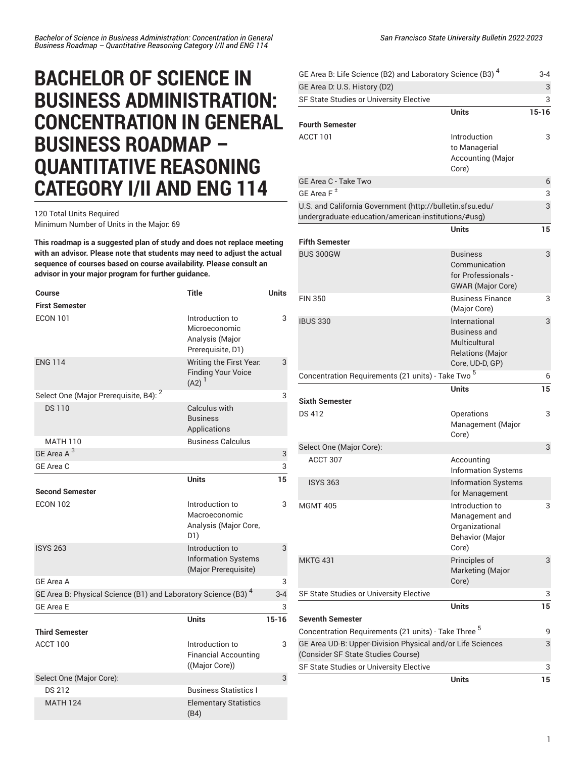## **BACHELOR OF SCIENCE IN BUSINESS ADMINISTRATION: CONCENTRATION IN GENERAL BUSINESS ROADMAP – QUANTITATIVE REASONING CATEGORY I/II AND ENG 114**

120 Total Units Required Minimum Number of Units in the Major: 69

**This roadmap is a suggested plan of study and does not replace meeting with an advisor. Please note that students may need to adjust the actual sequence of courses based on course availability. Please consult an advisor in your major program for further guidance.**

| <b>Course</b>                                                             | <b>Title</b>                                                             | <b>Units</b> |
|---------------------------------------------------------------------------|--------------------------------------------------------------------------|--------------|
| <b>First Semester</b>                                                     |                                                                          |              |
| <b>ECON 101</b>                                                           | Introduction to<br>Microeconomic<br>Analysis (Major<br>Prerequisite, D1) | 3            |
| <b>ENG 114</b>                                                            | Writing the First Year.<br><b>Finding Your Voice</b><br>$(A2)^{1}$       | 3            |
| Select One (Major Prerequisite, B4): <sup>2</sup>                         |                                                                          | 3            |
| <b>DS110</b>                                                              | Calculus with<br><b>Business</b><br>Applications                         |              |
| <b>MATH 110</b>                                                           | <b>Business Calculus</b>                                                 |              |
| GE Area A <sup>3</sup>                                                    |                                                                          | 3            |
| GE Area C                                                                 |                                                                          | 3            |
|                                                                           | <b>Units</b>                                                             | 15           |
| <b>Second Semester</b>                                                    |                                                                          |              |
| <b>ECON 102</b>                                                           | Introduction to<br>Macroeconomic<br>Analysis (Major Core,<br>D1)         | 3            |
| <b>ISYS 263</b>                                                           | Introduction to<br><b>Information Systems</b><br>(Major Prerequisite)    | 3            |
| <b>GE Area A</b>                                                          |                                                                          | 3            |
| GE Area B: Physical Science (B1) and Laboratory Science (B3) <sup>4</sup> |                                                                          | $3 - 4$      |
| <b>GE Area E</b>                                                          |                                                                          | 3            |
|                                                                           | <b>Units</b>                                                             | $15 - 16$    |
| <b>Third Semester</b>                                                     |                                                                          |              |
| ACCT 100                                                                  | Introduction to<br><b>Financial Accounting</b><br>((Major Core))         | 3            |
| Select One (Major Core):                                                  |                                                                          | 3            |
| <b>DS 212</b>                                                             | <b>Business Statistics I</b>                                             |              |
| <b>MATH 124</b>                                                           | <b>Elementary Statistics</b><br>(B4)                                     |              |

| GE Area B: Life Science (B2) and Laboratory Science (B3) <sup>4</sup>                                            |                                                                                                     | $3 - 4$   |
|------------------------------------------------------------------------------------------------------------------|-----------------------------------------------------------------------------------------------------|-----------|
| GE Area D. U.S. History (D2)                                                                                     |                                                                                                     | 3         |
| SF State Studies or University Elective                                                                          |                                                                                                     | 3         |
| <b>Fourth Semester</b>                                                                                           | <b>Units</b>                                                                                        | $15 - 16$ |
| ACCT 101                                                                                                         | Introduction<br>to Managerial<br>Accounting (Major<br>Core)                                         | 3         |
| GE Area C - Take Two                                                                                             |                                                                                                     | 6         |
| GE Area F <sup>±</sup>                                                                                           |                                                                                                     | 3         |
| U.S. and California Government (http://bulletin.sfsu.edu/<br>undergraduate-education/american-institutions/#usg) |                                                                                                     | 3         |
|                                                                                                                  | <b>Units</b>                                                                                        | 15        |
| <b>Fifth Semester</b>                                                                                            |                                                                                                     |           |
| <b>BUS 300GW</b>                                                                                                 | <b>Business</b><br>Communication<br>for Professionals -<br><b>GWAR</b> (Major Core)                 | 3         |
| <b>FIN 350</b>                                                                                                   | <b>Business Finance</b><br>(Major Core)                                                             | 3         |
| <b>IBUS 330</b>                                                                                                  | International<br><b>Business and</b><br>Multicultural<br><b>Relations (Major</b><br>Core, UD-D, GP) | 3         |
| Concentration Requirements (21 units) - Take Two <sup>5</sup>                                                    |                                                                                                     | 6         |
| <b>Sixth Semester</b>                                                                                            | Units                                                                                               | 15        |
| <b>DS 412</b>                                                                                                    | Operations                                                                                          | 3         |
|                                                                                                                  | Management (Major<br>Core)                                                                          |           |
| Select One (Major Core):                                                                                         |                                                                                                     | 3         |
| ACCT 307                                                                                                         | Accounting<br><b>Information Systems</b>                                                            |           |
| <b>ISYS 363</b>                                                                                                  | <b>Information Systems</b><br>for Management                                                        |           |
| <b>MGMT 405</b>                                                                                                  | Introduction to<br>Management and<br>Organizational<br><b>Behavior (Major</b><br>Core)              | 3         |
| <b>MKTG 431</b>                                                                                                  | Principles of<br>Marketing (Major<br>Core)                                                          | 3         |
| SF State Studies or University Elective                                                                          |                                                                                                     | 3         |
|                                                                                                                  | <b>Units</b>                                                                                        | 15        |
| <b>Seventh Semester</b>                                                                                          |                                                                                                     |           |
| Concentration Requirements (21 units) - Take Three <sup>5</sup>                                                  |                                                                                                     | 9         |
| GE Area UD-B: Upper-Division Physical and/or Life Sciences<br>(Consider SF State Studies Course)                 |                                                                                                     | 3         |
| SF State Studies or University Elective                                                                          |                                                                                                     | 3         |
|                                                                                                                  | <b>Units</b>                                                                                        | 15        |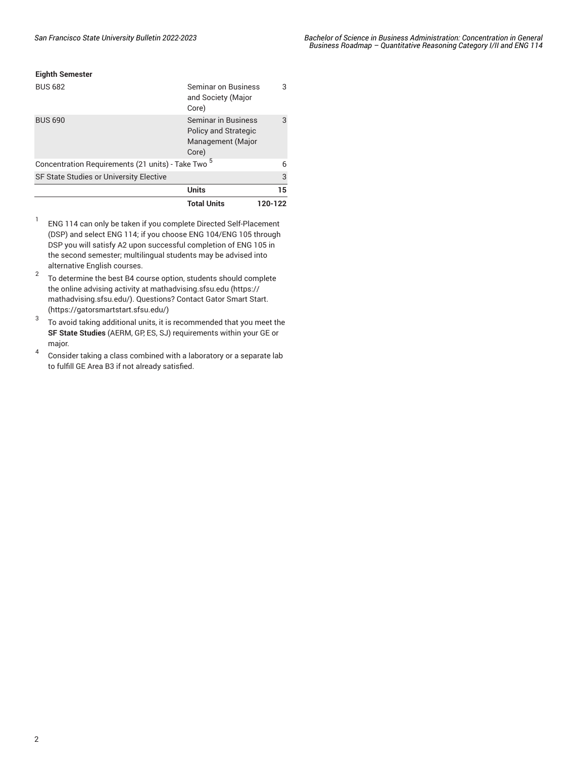## **Eighth Semester**

| <b>BUS 682</b>                                                | Seminar on Business<br>and Society (Major<br>Core)                                      | 3       |
|---------------------------------------------------------------|-----------------------------------------------------------------------------------------|---------|
| <b>BUS 690</b>                                                | <b>Seminar in Business</b><br><b>Policy and Strategic</b><br>Management (Major<br>Core) | 3       |
| Concentration Requirements (21 units) - Take Two <sup>5</sup> |                                                                                         | 6       |
| SF State Studies or University Elective                       |                                                                                         | 3       |
|                                                               | <b>Units</b>                                                                            | 15      |
|                                                               | <b>Total Units</b>                                                                      | 120-122 |

- 1 ENG 114 can only be taken if you complete Directed Self-Placement (DSP) and select ENG 114; if you choose ENG 104/ENG 105 through DSP you will satisfy A2 upon successful completion of ENG 105 in the second semester; multilingual students may be advised into alternative English courses.
- 2 To determine the best B4 course option, students should complete the online advising activity at [mathadvising.sfsu.edu](https://mathadvising.sfsu.edu/) ([https://](https://mathadvising.sfsu.edu/) [mathadvising.sfsu.edu/\)](https://mathadvising.sfsu.edu/). Questions? Contact Gator [Smart](https://gatorsmartstart.sfsu.edu/) Start. ([https://gatorsmartstart.sfsu.edu/\)](https://gatorsmartstart.sfsu.edu/)
- 3 To avoid taking additional units, it is recommended that you meet the **SF State Studies** (AERM, GP, ES, SJ) requirements within your GE or major.
- 4 Consider taking a class combined with a laboratory or a separate lab to fulfill GE Area B3 if not already satisfied.